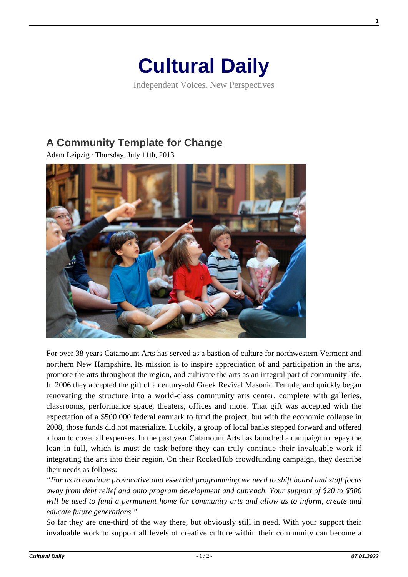## **[Cultural Daily](https://culturaldaily.com/)**

Independent Voices, New Perspectives

## **[A Community Template for Change](https://culturaldaily.com/a-community-template-for-change/)**

Adam Leipzig · Thursday, July 11th, 2013



For over 38 years Catamount Arts has served as a bastion of culture for northwestern Vermont and northern New Hampshire. Its mission is to inspire appreciation of and participation in the arts, promote the arts throughout the region, and cultivate the arts as an integral part of community life. In 2006 they accepted the gift of a century-old Greek Revival Masonic Temple, and quickly began renovating the structure into a world-class community arts center, complete with galleries, classrooms, performance space, theaters, offices and more. That gift was accepted with the expectation of a \$500,000 federal earmark to fund the project, but with the economic collapse in 2008, those funds did not materialize. Luckily, a group of local banks stepped forward and offered a loan to cover all expenses. In the past year Catamount Arts has launched a campaign to repay the loan in full, which is must-do task before they can truly continue their invaluable work if integrating the arts into their region. On their RocketHub crowdfunding campaign, they describe their needs as follows:

*"For us to continue provocative and essential programming we need to shift board and staff focus away from debt relief and onto program development and outreach. Your support of \$20 to \$500 will be used to fund a permanent home for community arts and allow us to inform, create and educate future generations."*

So far they are one-third of the way there, but obviously still in need. With your support their invaluable work to support all levels of creative culture within their community can become a

**1**